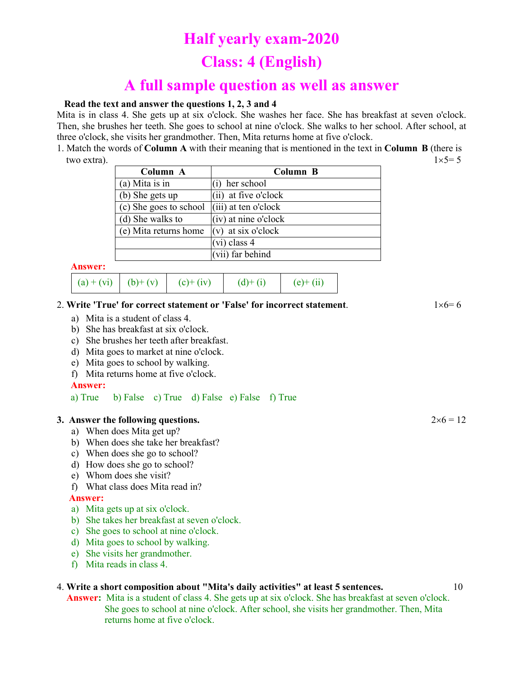# **Half yearly exam-2020**

# **Class: 4 (English)**

# **A full sample question as well as answer**

## **Read the text and answer the questions 1, 2, 3 and 4**

Mita is in class 4. She gets up at six o'clock. She washes her face. She has breakfast at seven o'clock. Then, she brushes her teeth. She goes to school at nine o'clock. She walks to her school. After school, at three o'clock, she visits her grandmother. Then, Mita returns home at five o'clock.

1. Match the words of **Column A** with their meaning that is mentioned in the text in **Column B** (there is two extra).  $1 \times 5 = 5$ 

| Column A               | Column B               |  |
|------------------------|------------------------|--|
| $(a)$ Mita is in       | her school             |  |
| (b) She gets up        | (ii) at five o'clock   |  |
| (c) She goes to school | $(iii)$ at ten o'clock |  |
| (d) She walks to       | (iv) at nine o'clock   |  |
| (e) Mita returns home  | $(v)$ at six o'clock   |  |
|                        | $(vi)$ class 4         |  |
|                        | (vii) far behind       |  |

#### **Answer:**

|  | (a) + (vi)   (b) + (v)   (c) + (iv)   (d) + (i)   (e) + (ii) |  |
|--|--------------------------------------------------------------|--|
|  |                                                              |  |

### 2. Write 'True' for correct statement or 'False' for incorrect statement.  $1 \times 6 = 6$

- a) Mita is a student of class 4.
- b) She has breakfast at six o'clock.
- c) She brushes her teeth after breakfast.
- d) Mita goes to market at nine o'clock.
- e) Mita goes to school by walking.
- f) Mita returns home at five o'clock.

#### **Answer:**

a) True b) False c) True d) False e) False f) True

### **3.** Answer the following questions.  $2 \times 6 = 12$

- a) When does Mita get up?
- b) When does she take her breakfast?
- c) When does she go to school?
- d) How does she go to school?
- e) Whom does she visit?
- f) What class does Mita read in?

## **Answer:**

- a) Mita gets up at six o'clock.
- b) She takes her breakfast at seven o'clock.
- c) She goes to school at nine o'clock.
- d) Mita goes to school by walking.
- e) She visits her grandmother.
- f) Mita reads in class 4.

## 4. **Write a short composition about "Mita's daily activities" at least 5 sentences.** 10

 **Answer:** Mita is a student of class 4. She gets up at six o'clock. She has breakfast at seven o'clock. She goes to school at nine o'clock. After school, she visits her grandmother. Then, Mita returns home at five o'clock.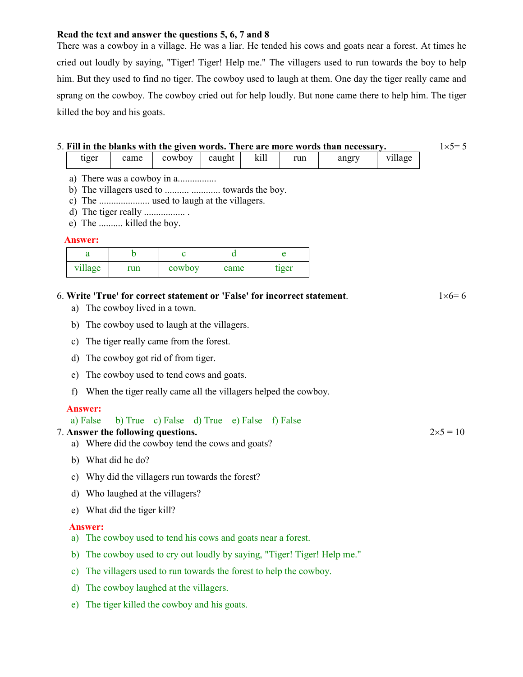## **Read the text and answer the questions 5, 6, 7 and 8**

There was a cowboy in a village. He was a liar. He tended his cows and goats near a forest. At times he cried out loudly by saying, "Tiger! Tiger! Help me." The villagers used to run towards the boy to help him. But they used to find no tiger. The cowboy used to laugh at them. One day the tiger really came and sprang on the cowboy. The cowboy cried out for help loudly. But none came there to help him. The tiger killed the boy and his goats.

# 5. Fill in the blanks with the given words. There are more words than necessary.  $1 \times 5 = 5$

| tiger | came | cowboy | caught | K111 | run | angry | village |
|-------|------|--------|--------|------|-----|-------|---------|
|-------|------|--------|--------|------|-----|-------|---------|

- a) There was a cowboy in a................
- b) The villagers used to .......... ............ towards the boy.
- c) The ..................... used to laugh at the villagers.
- d) The tiger really ................. .
- e) The .......... killed the boy.

## **Answer:**

| village | run | cowboy | came | tiger |
|---------|-----|--------|------|-------|

## 6. Write 'True' for correct statement or 'False' for incorrect statement.  $1 \times 6 = 6$

- a) The cowboy lived in a town.
- b) The cowboy used to laugh at the villagers.
- c) The tiger really came from the forest.
- d) The cowboy got rid of from tiger.
- e) The cowboy used to tend cows and goats.
- f) When the tiger really came all the villagers helped the cowboy.

## **Answer:**

## a) False b) True c) False d) True e) False f) False

## 7. Answer the following questions.  $2 \times 5 = 10$

- a) Where did the cowboy tend the cows and goats?
- b) What did he do?
- c) Why did the villagers run towards the forest?
- d) Who laughed at the villagers?
- e) What did the tiger kill?

## **Answer:**

- a) The cowboy used to tend his cows and goats near a forest.
- b) The cowboy used to cry out loudly by saying, "Tiger! Tiger! Help me."
- c) The villagers used to run towards the forest to help the cowboy.
- d) The cowboy laughed at the villagers.
- e) The tiger killed the cowboy and his goats.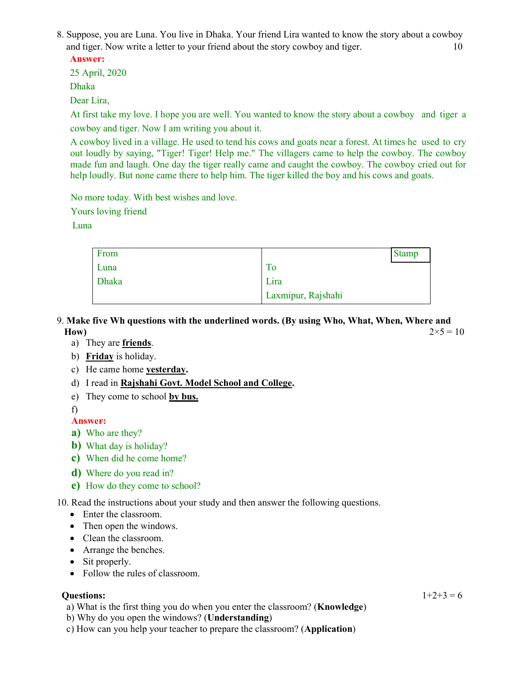8. Suppose, you are Luna. You live in Dhaka. Your friend Lira wanted to know the story about a cowboy and tiger. Now write a letter to your friend about the story cowboy and tiger. 10

**Answer:**

25 April, 2020

Dhaka

Dear Lira,

At first take my love. I hope you are well. You wanted to know the story about a cowboy and tiger a cowboy and tiger. Now I am writing you about it.

A cowboy lived in a village. He used to tend his cows and goats near a forest. At times he used to cry out loudly by saying, "Tiger! Tiger! Help me." The villagers came to help the cowboy. The cowboy made fun and laugh. One day the tiger really came and caught the cowboy. The cowboy cried out for help loudly. But none came there to help him. The tiger killed the boy and his cows and goats.

No more today. With best wishes and love.

Yours loving friend

Luna

| From  |                    | <b>Stamp</b> |
|-------|--------------------|--------------|
| Luna  | ГO                 |              |
| Dhaka | Lira               |              |
|       | Laxmipur, Rajshahi |              |

- 9. **Make five Wh questions with the underlined words. (By using Who, What, When, Where and How**)  $2 \times 5 = 10$ 
	- a) They are **friends**.
	- b) **Friday** is holiday.
	- c) He came home **yesterday.**
	- d) I read in **Rajshahi Govt. Model School and College.**
	- e) They come to school **by bus.**

f)

- **Answer:**
- **a)** Who are they?
- **b)** What day is holiday?
- **c)** When did he come home?
- **d)** Where do you read in?
- **e)** How do they come to school?

10. Read the instructions about your study and then answer the following questions.

- Enter the classroom.
- Then open the windows.
- Clean the classroom.
- Arrange the benches.
- Sit properly.
- Follow the rules of classroom.

## **Questions:**  $1+2+3=6$

a) What is the first thing you do when you enter the classroom? (**Knowledge**)

b) Why do you open the windows? (**Understanding**)

c) How can you help your teacher to prepare the classroom? (**Application**)